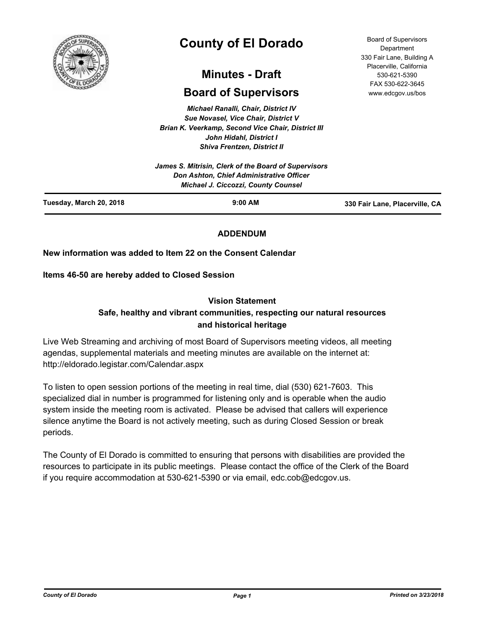

# **County of El Dorado**

# **Minutes - Draft**

# **Board of Supervisors**

*Michael Ranalli, Chair, District IV Sue Novasel, Vice Chair, District V Brian K. Veerkamp, Second Vice Chair, District III John Hidahl, District I Shiva Frentzen, District II*

|                         | James S. Mitrisin, Clerk of the Board of Supervisors<br>Don Ashton, Chief Administrative Officer<br><b>Michael J. Ciccozzi, County Counsel</b> |                                |
|-------------------------|------------------------------------------------------------------------------------------------------------------------------------------------|--------------------------------|
| Tuesday, March 20, 2018 | $9:00$ AM                                                                                                                                      | 330 Fair Lane, Placerville, CA |

# **ADDENDUM**

# **New information was added to Item 22 on the Consent Calendar**

**Items 46-50 are hereby added to Closed Session**

## **Vision Statement**

# **Safe, healthy and vibrant communities, respecting our natural resources and historical heritage**

Live Web Streaming and archiving of most Board of Supervisors meeting videos, all meeting agendas, supplemental materials and meeting minutes are available on the internet at: http://eldorado.legistar.com/Calendar.aspx

To listen to open session portions of the meeting in real time, dial (530) 621-7603. This specialized dial in number is programmed for listening only and is operable when the audio system inside the meeting room is activated. Please be advised that callers will experience silence anytime the Board is not actively meeting, such as during Closed Session or break periods.

The County of El Dorado is committed to ensuring that persons with disabilities are provided the resources to participate in its public meetings. Please contact the office of the Clerk of the Board if you require accommodation at 530-621-5390 or via email, edc.cob@edcgov.us.

Board of Supervisors Department 330 Fair Lane, Building A Placerville, California 530-621-5390 FAX 530-622-3645 www.edcgov.us/bos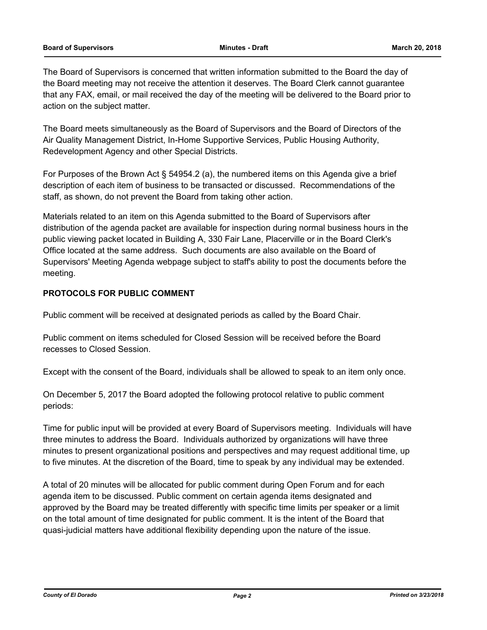#### **Board of Supervisors Minutes - Draft March 20, 2018**

The Board of Supervisors is concerned that written information submitted to the Board the day of the Board meeting may not receive the attention it deserves. The Board Clerk cannot guarantee that any FAX, email, or mail received the day of the meeting will be delivered to the Board prior to action on the subject matter.

The Board meets simultaneously as the Board of Supervisors and the Board of Directors of the Air Quality Management District, In-Home Supportive Services, Public Housing Authority, Redevelopment Agency and other Special Districts.

For Purposes of the Brown Act § 54954.2 (a), the numbered items on this Agenda give a brief description of each item of business to be transacted or discussed. Recommendations of the staff, as shown, do not prevent the Board from taking other action.

Materials related to an item on this Agenda submitted to the Board of Supervisors after distribution of the agenda packet are available for inspection during normal business hours in the public viewing packet located in Building A, 330 Fair Lane, Placerville or in the Board Clerk's Office located at the same address. Such documents are also available on the Board of Supervisors' Meeting Agenda webpage subject to staff's ability to post the documents before the meeting.

# **PROTOCOLS FOR PUBLIC COMMENT**

Public comment will be received at designated periods as called by the Board Chair.

Public comment on items scheduled for Closed Session will be received before the Board recesses to Closed Session.

Except with the consent of the Board, individuals shall be allowed to speak to an item only once.

On December 5, 2017 the Board adopted the following protocol relative to public comment periods:

Time for public input will be provided at every Board of Supervisors meeting. Individuals will have three minutes to address the Board. Individuals authorized by organizations will have three minutes to present organizational positions and perspectives and may request additional time, up to five minutes. At the discretion of the Board, time to speak by any individual may be extended.

A total of 20 minutes will be allocated for public comment during Open Forum and for each agenda item to be discussed. Public comment on certain agenda items designated and approved by the Board may be treated differently with specific time limits per speaker or a limit on the total amount of time designated for public comment. It is the intent of the Board that quasi-judicial matters have additional flexibility depending upon the nature of the issue.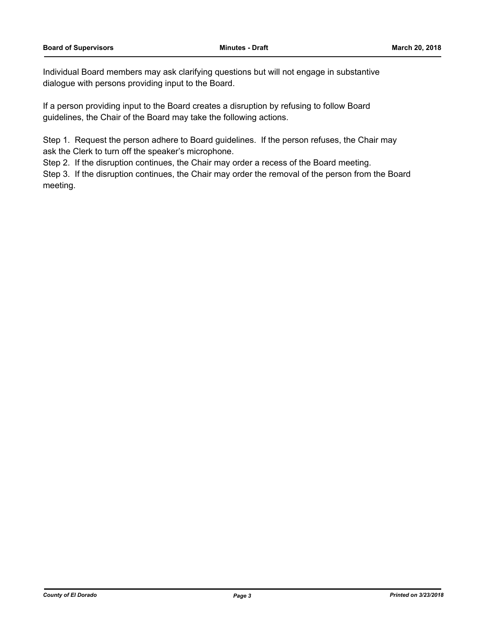Individual Board members may ask clarifying questions but will not engage in substantive dialogue with persons providing input to the Board.

If a person providing input to the Board creates a disruption by refusing to follow Board guidelines, the Chair of the Board may take the following actions.

Step 1. Request the person adhere to Board guidelines. If the person refuses, the Chair may ask the Clerk to turn off the speaker's microphone.

Step 2. If the disruption continues, the Chair may order a recess of the Board meeting.

Step 3. If the disruption continues, the Chair may order the removal of the person from the Board meeting.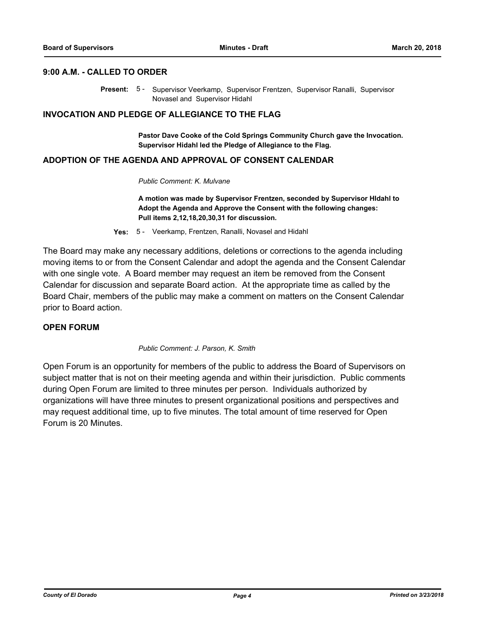#### **9:00 A.M. - CALLED TO ORDER**

Present: 5 - Supervisor Veerkamp, Supervisor Frentzen, Supervisor Ranalli, Supervisor Novasel and Supervisor Hidahl

### **INVOCATION AND PLEDGE OF ALLEGIANCE TO THE FLAG**

**Pastor Dave Cooke of the Cold Springs Community Church gave the Invocation. Supervisor Hidahl led the Pledge of Allegiance to the Flag.**

# **ADOPTION OF THE AGENDA AND APPROVAL OF CONSENT CALENDAR**

#### *Public Comment: K. Mulvane*

**A motion was made by Supervisor Frentzen, seconded by Supervisor HIdahl to Adopt the Agenda and Approve the Consent with the following changes: Pull items 2,12,18,20,30,31 for discussion.**

**Yes:** 5 - Veerkamp, Frentzen, Ranalli, Novasel and Hidahl

The Board may make any necessary additions, deletions or corrections to the agenda including moving items to or from the Consent Calendar and adopt the agenda and the Consent Calendar with one single vote. A Board member may request an item be removed from the Consent Calendar for discussion and separate Board action. At the appropriate time as called by the Board Chair, members of the public may make a comment on matters on the Consent Calendar prior to Board action.

# **OPEN FORUM**

*Public Comment: J. Parson, K. Smith*

Open Forum is an opportunity for members of the public to address the Board of Supervisors on subject matter that is not on their meeting agenda and within their jurisdiction. Public comments during Open Forum are limited to three minutes per person. Individuals authorized by organizations will have three minutes to present organizational positions and perspectives and may request additional time, up to five minutes. The total amount of time reserved for Open Forum is 20 Minutes.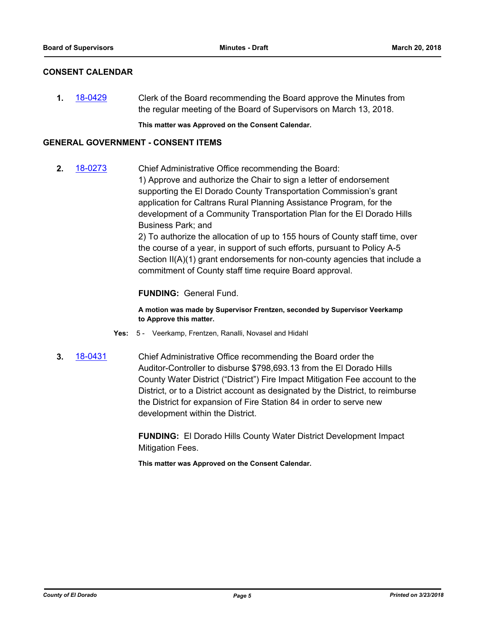# **CONSENT CALENDAR**

**1.** [18-0429](http://eldorado.legistar.com/gateway.aspx?m=l&id=/matter.aspx?key=23774) Clerk of the Board recommending the Board approve the Minutes from the regular meeting of the Board of Supervisors on March 13, 2018.

**This matter was Approved on the Consent Calendar.**

# **GENERAL GOVERNMENT - CONSENT ITEMS**

**2.** [18-0273](http://eldorado.legistar.com/gateway.aspx?m=l&id=/matter.aspx?key=23616) Chief Administrative Office recommending the Board: 1) Approve and authorize the Chair to sign a letter of endorsement supporting the El Dorado County Transportation Commission's grant application for Caltrans Rural Planning Assistance Program, for the development of a Community Transportation Plan for the El Dorado Hills Business Park; and

> 2) To authorize the allocation of up to 155 hours of County staff time, over the course of a year, in support of such efforts, pursuant to Policy A-5 Section II(A)(1) grant endorsements for non-county agencies that include a commitment of County staff time require Board approval.

# **FUNDING:** General Fund.

**A motion was made by Supervisor Frentzen, seconded by Supervisor Veerkamp to Approve this matter.**

- **Yes:** 5 Veerkamp, Frentzen, Ranalli, Novasel and Hidahl
- **3.** [18-0431](http://eldorado.legistar.com/gateway.aspx?m=l&id=/matter.aspx?key=23776) Chief Administrative Office recommending the Board order the Auditor-Controller to disburse \$798,693.13 from the El Dorado Hills County Water District ("District") Fire Impact Mitigation Fee account to the District, or to a District account as designated by the District, to reimburse the District for expansion of Fire Station 84 in order to serve new development within the District.

**FUNDING:** El Dorado Hills County Water District Development Impact Mitigation Fees.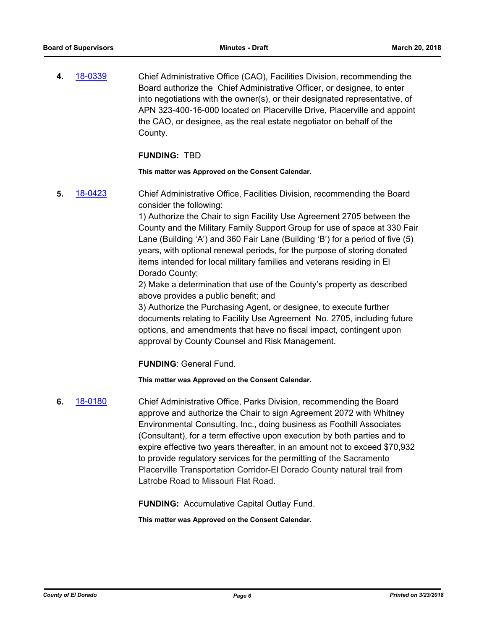**4.** [18-0339](http://eldorado.legistar.com/gateway.aspx?m=l&id=/matter.aspx?key=23682) Chief Administrative Office (CAO), Facilities Division, recommending the Board authorize the Chief Administrative Officer, or designee, to enter into negotiations with the owner(s), or their designated representative, of APN 323-400-16-000 located on Placerville Drive, Placerville and appoint the CAO, or designee, as the real estate negotiator on behalf of the County.

## **FUNDING:** TBD

**This matter was Approved on the Consent Calendar.**

**5.** [18-0423](http://eldorado.legistar.com/gateway.aspx?m=l&id=/matter.aspx?key=23768) Chief Administrative Office, Facilities Division, recommending the Board consider the following:

> 1) Authorize the Chair to sign Facility Use Agreement 2705 between the County and the Military Family Support Group for use of space at 330 Fair Lane (Building 'A') and 360 Fair Lane (Building 'B') for a period of five (5) years, with optional renewal periods, for the purpose of storing donated items intended for local military families and veterans residing in El Dorado County;

2) Make a determination that use of the County's property as described above provides a public benefit; and

3) Authorize the Purchasing Agent, or designee, to execute further documents relating to Facility Use Agreement No. 2705, including future options, and amendments that have no fiscal impact, contingent upon approval by County Counsel and Risk Management.

**FUNDING**: General Fund.

**This matter was Approved on the Consent Calendar.**

**6.** [18-0180](http://eldorado.legistar.com/gateway.aspx?m=l&id=/matter.aspx?key=23522) Chief Administrative Office, Parks Division, recommending the Board approve and authorize the Chair to sign Agreement 2072 with Whitney Environmental Consulting, Inc., doing business as Foothill Associates (Consultant), for a term effective upon execution by both parties and to expire effective two years thereafter, in an amount not to exceed \$70,932 to provide regulatory services for the permitting of the Sacramento Placerville Transportation Corridor-El Dorado County natural trail from Latrobe Road to Missouri Flat Road.

**FUNDING:** Accumulative Capital Outlay Fund.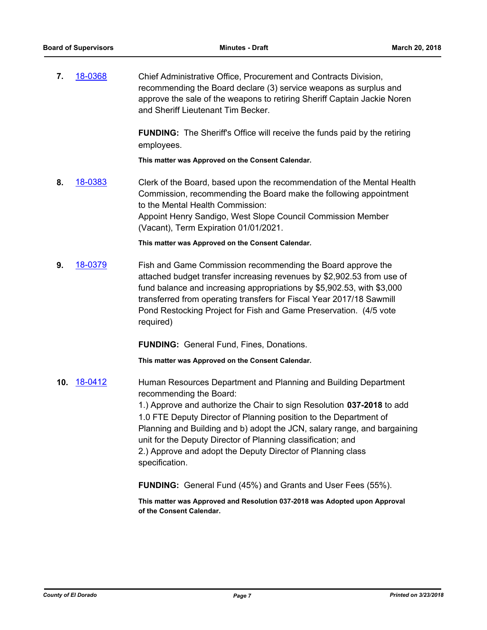**7.** [18-0368](http://eldorado.legistar.com/gateway.aspx?m=l&id=/matter.aspx?key=23711) Chief Administrative Office, Procurement and Contracts Division, recommending the Board declare (3) service weapons as surplus and approve the sale of the weapons to retiring Sheriff Captain Jackie Noren and Sheriff Lieutenant Tim Becker.

> **FUNDING:** The Sheriff's Office will receive the funds paid by the retiring employees.

**This matter was Approved on the Consent Calendar.**

**8.** [18-0383](http://eldorado.legistar.com/gateway.aspx?m=l&id=/matter.aspx?key=23728) Clerk of the Board, based upon the recommendation of the Mental Health Commission, recommending the Board make the following appointment to the Mental Health Commission: Appoint Henry Sandigo, West Slope Council Commission Member (Vacant), Term Expiration 01/01/2021.

**This matter was Approved on the Consent Calendar.**

**9.** [18-0379](http://eldorado.legistar.com/gateway.aspx?m=l&id=/matter.aspx?key=23724) Fish and Game Commission recommending the Board approve the attached budget transfer increasing revenues by \$2,902.53 from use of fund balance and increasing appropriations by \$5,902.53, with \$3,000 transferred from operating transfers for Fiscal Year 2017/18 Sawmill Pond Restocking Project for Fish and Game Preservation. (4/5 vote required)

**FUNDING:** General Fund, Fines, Donations.

**This matter was Approved on the Consent Calendar.**

**10.** [18-0412](http://eldorado.legistar.com/gateway.aspx?m=l&id=/matter.aspx?key=23757) Human Resources Department and Planning and Building Department recommending the Board: 1.) Approve and authorize the Chair to sign Resolution **037-2018** to add 1.0 FTE Deputy Director of Planning position to the Department of Planning and Building and b) adopt the JCN, salary range, and bargaining unit for the Deputy Director of Planning classification; and 2.) Approve and adopt the Deputy Director of Planning class

specification.

**FUNDING:** General Fund (45%) and Grants and User Fees (55%).

**This matter was Approved and Resolution 037-2018 was Adopted upon Approval of the Consent Calendar.**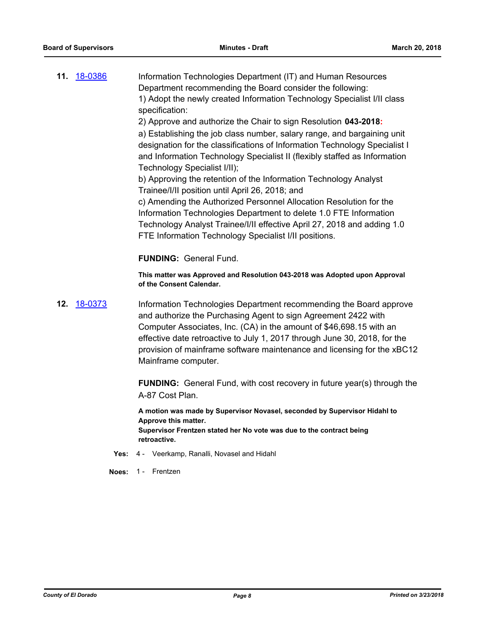**11.** [18-0386](http://eldorado.legistar.com/gateway.aspx?m=l&id=/matter.aspx?key=23731) Information Technologies Department (IT) and Human Resources Department recommending the Board consider the following: 1) Adopt the newly created Information Technology Specialist I/II class specification:

2) Approve and authorize the Chair to sign Resolution **043-2018:**

a) Establishing the job class number, salary range, and bargaining unit designation for the classifications of Information Technology Specialist I and Information Technology Specialist II (flexibly staffed as Information Technology Specialist I/II);

b) Approving the retention of the Information Technology Analyst Trainee/I/II position until April 26, 2018; and

c) Amending the Authorized Personnel Allocation Resolution for the Information Technologies Department to delete 1.0 FTE Information Technology Analyst Trainee/I/II effective April 27, 2018 and adding 1.0 FTE Information Technology Specialist I/II positions.

**FUNDING:** General Fund.

**This matter was Approved and Resolution 043-2018 was Adopted upon Approval of the Consent Calendar.**

**12.** [18-0373](http://eldorado.legistar.com/gateway.aspx?m=l&id=/matter.aspx?key=23718) Information Technologies Department recommending the Board approve and authorize the Purchasing Agent to sign Agreement 2422 with Computer Associates, Inc. (CA) in the amount of \$46,698.15 with an effective date retroactive to July 1, 2017 through June 30, 2018, for the provision of mainframe software maintenance and licensing for the xBC12 Mainframe computer.

> **FUNDING:** General Fund, with cost recovery in future year(s) through the A-87 Cost Plan.

**A motion was made by Supervisor Novasel, seconded by Supervisor Hidahl to Approve this matter. Supervisor Frentzen stated her No vote was due to the contract being retroactive.**

- **Yes:** 4 Veerkamp, Ranalli, Novasel and Hidahl
- **Noes:** 1 Frentzen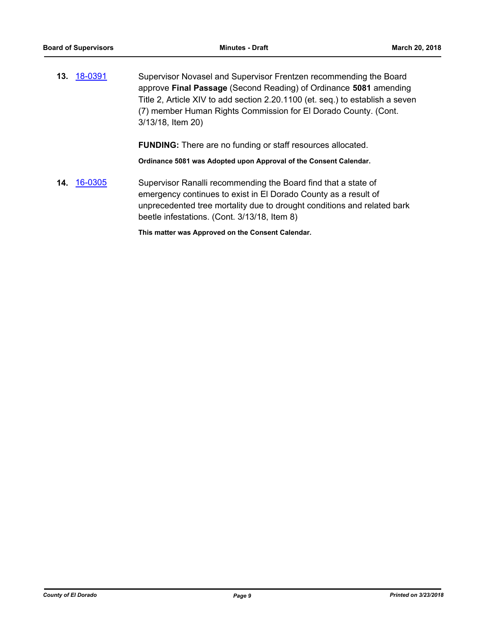**13.** [18-0391](http://eldorado.legistar.com/gateway.aspx?m=l&id=/matter.aspx?key=23736) Supervisor Novasel and Supervisor Frentzen recommending the Board approve **Final Passage** (Second Reading) of Ordinance **5081** amending Title 2, Article XIV to add section 2.20.1100 (et. seq.) to establish a seven (7) member Human Rights Commission for El Dorado County. (Cont. 3/13/18, Item 20)

**FUNDING:** There are no funding or staff resources allocated.

**Ordinance 5081 was Adopted upon Approval of the Consent Calendar.**

**14.** [16-0305](http://eldorado.legistar.com/gateway.aspx?m=l&id=/matter.aspx?key=20961) Supervisor Ranalli recommending the Board find that a state of emergency continues to exist in El Dorado County as a result of unprecedented tree mortality due to drought conditions and related bark beetle infestations. (Cont. 3/13/18, Item 8)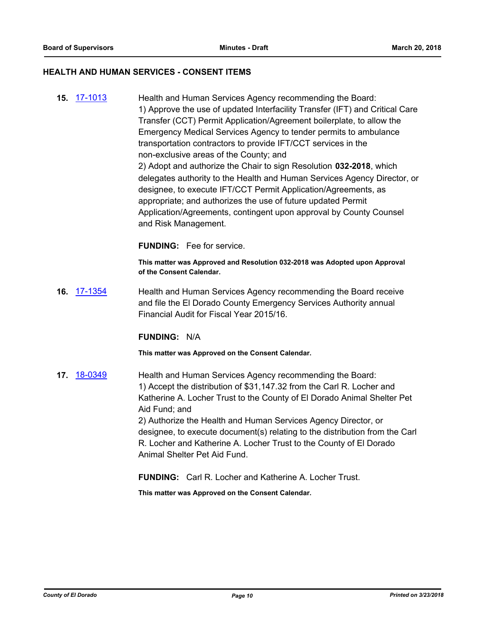#### **HEALTH AND HUMAN SERVICES - CONSENT ITEMS**

**15.** [17-1013](http://eldorado.legistar.com/gateway.aspx?m=l&id=/matter.aspx?key=22957) Health and Human Services Agency recommending the Board: 1) Approve the use of updated Interfacility Transfer (IFT) and Critical Care Transfer (CCT) Permit Application/Agreement boilerplate, to allow the Emergency Medical Services Agency to tender permits to ambulance transportation contractors to provide IFT/CCT services in the non-exclusive areas of the County; and 2) Adopt and authorize the Chair to sign Resolution **032-2018**, which delegates authority to the Health and Human Services Agency Director, or designee, to execute IFT/CCT Permit Application/Agreements, as appropriate; and authorizes the use of future updated Permit Application/Agreements, contingent upon approval by County Counsel and Risk Management.

**FUNDING:** Fee for service.

**This matter was Approved and Resolution 032-2018 was Adopted upon Approval of the Consent Calendar.**

**16.** [17-1354](http://eldorado.legistar.com/gateway.aspx?m=l&id=/matter.aspx?key=23300) Health and Human Services Agency recommending the Board receive and file the El Dorado County Emergency Services Authority annual Financial Audit for Fiscal Year 2015/16.

### **FUNDING:** N/A

**This matter was Approved on the Consent Calendar.**

**17.** [18-0349](http://eldorado.legistar.com/gateway.aspx?m=l&id=/matter.aspx?key=23692) Health and Human Services Agency recommending the Board: 1) Accept the distribution of \$31,147.32 from the Carl R. Locher and Katherine A. Locher Trust to the County of El Dorado Animal Shelter Pet Aid Fund; and 2) Authorize the Health and Human Services Agency Director, or designee, to execute document(s) relating to the distribution from the Carl R. Locher and Katherine A. Locher Trust to the County of El Dorado Animal Shelter Pet Aid Fund.

**FUNDING:** Carl R. Locher and Katherine A. Locher Trust.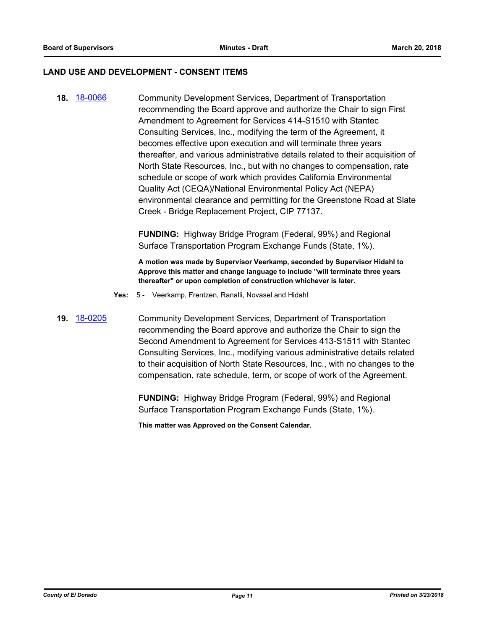## **LAND USE AND DEVELOPMENT - CONSENT ITEMS**

**18.** [18-0066](http://eldorado.legistar.com/gateway.aspx?m=l&id=/matter.aspx?key=23407) Community Development Services, Department of Transportation recommending the Board approve and authorize the Chair to sign First Amendment to Agreement for Services 414-S1510 with Stantec Consulting Services, Inc., modifying the term of the Agreement, it becomes effective upon execution and will terminate three years thereafter, and various administrative details related to their acquisition of North State Resources, Inc., but with no changes to compensation, rate schedule or scope of work which provides California Environmental Quality Act (CEQA)/National Environmental Policy Act (NEPA) environmental clearance and permitting for the Greenstone Road at Slate Creek - Bridge Replacement Project, CIP 77137.

> **FUNDING:** Highway Bridge Program (Federal, 99%) and Regional Surface Transportation Program Exchange Funds (State, 1%).

**A motion was made by Supervisor Veerkamp, seconded by Supervisor Hidahl to Approve this matter and change language to include "will terminate three years thereafter" or upon completion of construction whichever is later.**

- **Yes:** 5 Veerkamp, Frentzen, Ranalli, Novasel and Hidahl
- **19.** [18-0205](http://eldorado.legistar.com/gateway.aspx?m=l&id=/matter.aspx?key=23547) Community Development Services, Department of Transportation recommending the Board approve and authorize the Chair to sign the Second Amendment to Agreement for Services 413-S1511 with Stantec Consulting Services, Inc., modifying various administrative details related to their acquisition of North State Resources, Inc., with no changes to the compensation, rate schedule, term, or scope of work of the Agreement.

**FUNDING:** Highway Bridge Program (Federal, 99%) and Regional Surface Transportation Program Exchange Funds (State, 1%).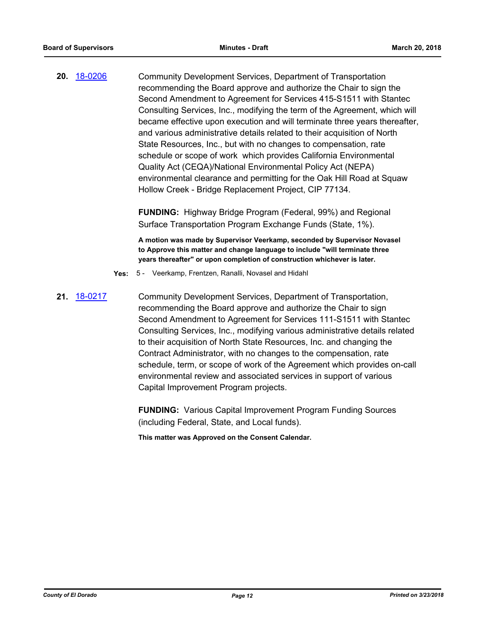**20.** [18-0206](http://eldorado.legistar.com/gateway.aspx?m=l&id=/matter.aspx?key=23548) Community Development Services, Department of Transportation recommending the Board approve and authorize the Chair to sign the Second Amendment to Agreement for Services 415-S1511 with Stantec Consulting Services, Inc., modifying the term of the Agreement, which will became effective upon execution and will terminate three years thereafter, and various administrative details related to their acquisition of North State Resources, Inc., but with no changes to compensation, rate schedule or scope of work which provides California Environmental Quality Act (CEQA)/National Environmental Policy Act (NEPA) environmental clearance and permitting for the Oak Hill Road at Squaw Hollow Creek - Bridge Replacement Project, CIP 77134.

> **FUNDING:** Highway Bridge Program (Federal, 99%) and Regional Surface Transportation Program Exchange Funds (State, 1%).

**A motion was made by Supervisor Veerkamp, seconded by Supervisor Novasel to Approve this matter and change language to include "will terminate three years thereafter" or upon completion of construction whichever is later.**

- **Yes:** 5 Veerkamp, Frentzen, Ranalli, Novasel and Hidahl
- **21.** [18-0217](http://eldorado.legistar.com/gateway.aspx?m=l&id=/matter.aspx?key=23559) Community Development Services, Department of Transportation, recommending the Board approve and authorize the Chair to sign Second Amendment to Agreement for Services 111-S1511 with Stantec Consulting Services, Inc., modifying various administrative details related to their acquisition of North State Resources, Inc. and changing the Contract Administrator, with no changes to the compensation, rate schedule, term, or scope of work of the Agreement which provides on-call environmental review and associated services in support of various Capital Improvement Program projects.

**FUNDING:** Various Capital Improvement Program Funding Sources (including Federal, State, and Local funds).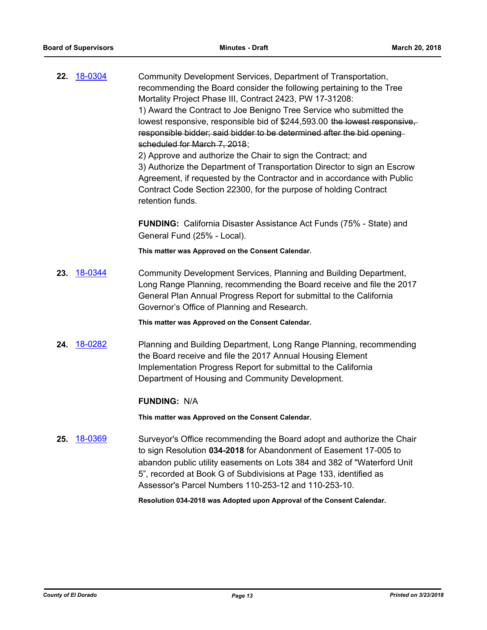| <u>18-0304</u> | Community Development Services, Department of Transportation,<br>recommending the Board consider the following pertaining to the Tree<br>Mortality Project Phase III, Contract 2423, PW 17-31208:<br>1) Award the Contract to Joe Benigno Tree Service who submitted the<br>lowest responsive, responsible bid of \$244,593.00 the lowest responsive,<br>responsible bidder; said bidder to be determined after the bid opening-<br>scheduled for March 7, 2018;<br>2) Approve and authorize the Chair to sign the Contract; and<br>3) Authorize the Department of Transportation Director to sign an Escrow<br>Agreement, if requested by the Contractor and in accordance with Public<br>Contract Code Section 22300, for the purpose of holding Contract<br>retention funds. |
|----------------|---------------------------------------------------------------------------------------------------------------------------------------------------------------------------------------------------------------------------------------------------------------------------------------------------------------------------------------------------------------------------------------------------------------------------------------------------------------------------------------------------------------------------------------------------------------------------------------------------------------------------------------------------------------------------------------------------------------------------------------------------------------------------------|
|                | <b>FUNDING:</b> California Disaster Assistance Act Funds (75% - State) and<br>General Fund (25% - Local).                                                                                                                                                                                                                                                                                                                                                                                                                                                                                                                                                                                                                                                                       |
|                | This matter was Approved on the Consent Calendar.                                                                                                                                                                                                                                                                                                                                                                                                                                                                                                                                                                                                                                                                                                                               |
| 18-0344        | Community Development Services, Planning and Building Department,<br>Long Range Planning, recommending the Board receive and file the 2017<br>General Plan Annual Progress Report for submittal to the California<br>Governor's Office of Planning and Research.                                                                                                                                                                                                                                                                                                                                                                                                                                                                                                                |
|                | This matter was Approved on the Consent Calendar.                                                                                                                                                                                                                                                                                                                                                                                                                                                                                                                                                                                                                                                                                                                               |
| 18-0282        | Planning and Building Department, Long Range Planning, recommending<br>the Board receive and file the 2017 Annual Housing Element<br>Implementation Progress Report for submittal to the California<br>Department of Housing and Community Development.                                                                                                                                                                                                                                                                                                                                                                                                                                                                                                                         |
|                | <b>FUNDING: N/A</b>                                                                                                                                                                                                                                                                                                                                                                                                                                                                                                                                                                                                                                                                                                                                                             |
|                | This matter was Approved on the Consent Calendar.                                                                                                                                                                                                                                                                                                                                                                                                                                                                                                                                                                                                                                                                                                                               |
| 18-0369        | Surveyor's Office recommending the Board adopt and authorize the Chair<br>to sign Resolution 034-2018 for Abandonment of Easement 17-005 to<br>abandon public utility easements on Lots 384 and 382 of "Waterford Unit<br>5", recorded at Book G of Subdivisions at Page 133, identified as<br>Assessor's Parcel Numbers 110-253-12 and 110-253-10.<br>Resolution 034-2018 was Adopted upon Approval of the Consent Calendar.                                                                                                                                                                                                                                                                                                                                                   |
|                |                                                                                                                                                                                                                                                                                                                                                                                                                                                                                                                                                                                                                                                                                                                                                                                 |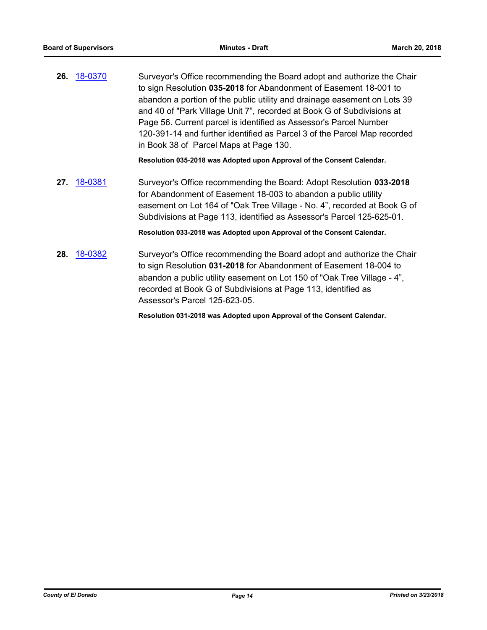**26.** [18-0370](http://eldorado.legistar.com/gateway.aspx?m=l&id=/matter.aspx?key=23714) Surveyor's Office recommending the Board adopt and authorize the Chair to sign Resolution **035-2018** for Abandonment of Easement 18-001 to abandon a portion of the public utility and drainage easement on Lots 39 and 40 of "Park Village Unit 7", recorded at Book G of Subdivisions at Page 56. Current parcel is identified as Assessor's Parcel Number 120-391-14 and further identified as Parcel 3 of the Parcel Map recorded in Book 38 of Parcel Maps at Page 130.

**Resolution 035-2018 was Adopted upon Approval of the Consent Calendar.**

**27.** [18-0381](http://eldorado.legistar.com/gateway.aspx?m=l&id=/matter.aspx?key=23726) Surveyor's Office recommending the Board: Adopt Resolution **033-2018** for Abandonment of Easement 18-003 to abandon a public utility easement on Lot 164 of "Oak Tree Village - No. 4", recorded at Book G of Subdivisions at Page 113, identified as Assessor's Parcel 125-625-01.

**Resolution 033-2018 was Adopted upon Approval of the Consent Calendar.**

**28.** [18-0382](http://eldorado.legistar.com/gateway.aspx?m=l&id=/matter.aspx?key=23727) Surveyor's Office recommending the Board adopt and authorize the Chair to sign Resolution **031-2018** for Abandonment of Easement 18-004 to abandon a public utility easement on Lot 150 of "Oak Tree Village - 4", recorded at Book G of Subdivisions at Page 113, identified as Assessor's Parcel 125-623-05.

**Resolution 031-2018 was Adopted upon Approval of the Consent Calendar.**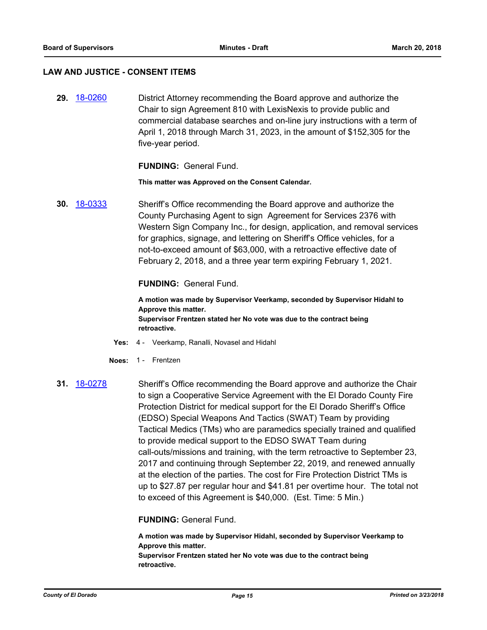#### **LAW AND JUSTICE - CONSENT ITEMS**

**29.** [18-0260](http://eldorado.legistar.com/gateway.aspx?m=l&id=/matter.aspx?key=23603) District Attorney recommending the Board approve and authorize the Chair to sign Agreement 810 with LexisNexis to provide public and commercial database searches and on-line jury instructions with a term of April 1, 2018 through March 31, 2023, in the amount of \$152,305 for the five-year period.

**FUNDING:** General Fund.

**This matter was Approved on the Consent Calendar.**

**30.** [18-0333](http://eldorado.legistar.com/gateway.aspx?m=l&id=/matter.aspx?key=23676) Sheriff's Office recommending the Board approve and authorize the County Purchasing Agent to sign Agreement for Services 2376 with Western Sign Company Inc., for design, application, and removal services for graphics, signage, and lettering on Sheriff's Office vehicles, for a not-to-exceed amount of \$63,000, with a retroactive effective date of February 2, 2018, and a three year term expiring February 1, 2021.

**FUNDING:** General Fund.

**A motion was made by Supervisor Veerkamp, seconded by Supervisor Hidahl to Approve this matter. Supervisor Frentzen stated her No vote was due to the contract being retroactive.**

- **Yes:** 4 Veerkamp, Ranalli, Novasel and Hidahl
- **Noes:** 1 Frentzen
- **31.** [18-0278](http://eldorado.legistar.com/gateway.aspx?m=l&id=/matter.aspx?key=23621) Sheriff's Office recommending the Board approve and authorize the Chair to sign a Cooperative Service Agreement with the El Dorado County Fire Protection District for medical support for the El Dorado Sheriff's Office (EDSO) Special Weapons And Tactics (SWAT) Team by providing Tactical Medics (TMs) who are paramedics specially trained and qualified to provide medical support to the EDSO SWAT Team during call-outs/missions and training, with the term retroactive to September 23, 2017 and continuing through September 22, 2019, and renewed annually at the election of the parties. The cost for Fire Protection District TMs is up to \$27.87 per regular hour and \$41.81 per overtime hour. The total not to exceed of this Agreement is \$40,000. (Est. Time: 5 Min.)

**FUNDING:** General Fund.

**A motion was made by Supervisor Hidahl, seconded by Supervisor Veerkamp to Approve this matter. Supervisor Frentzen stated her No vote was due to the contract being retroactive.**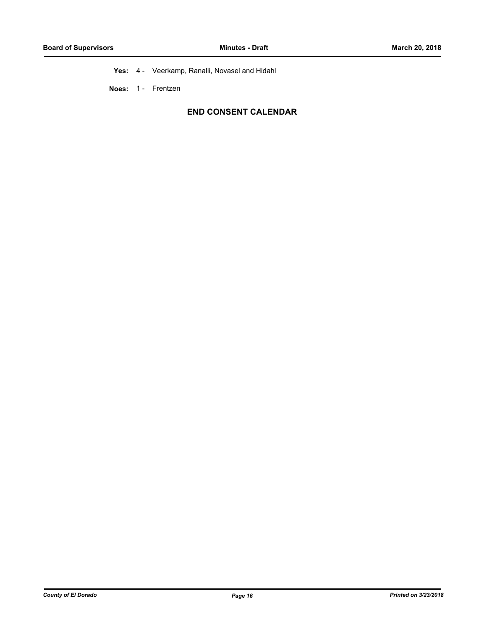**Yes:** 4 - Veerkamp, Ranalli, Novasel and Hidahl

**Noes:** 1 - Frentzen

# **END CONSENT CALENDAR**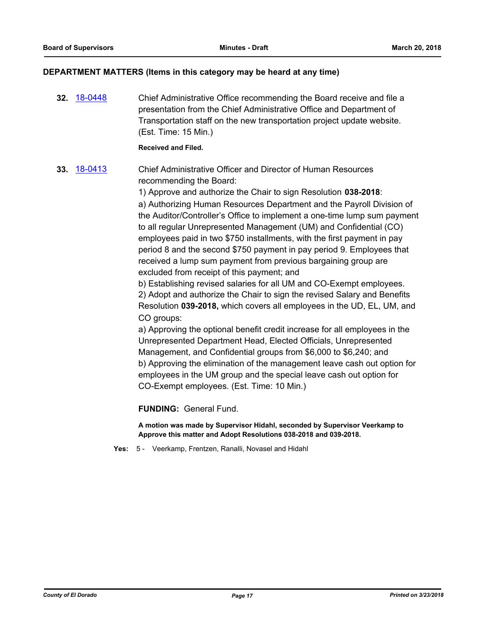# **DEPARTMENT MATTERS (Items in this category may be heard at any time)**

**32.** [18-0448](http://eldorado.legistar.com/gateway.aspx?m=l&id=/matter.aspx?key=23793) Chief Administrative Office recommending the Board receive and file a presentation from the Chief Administrative Office and Department of Transportation staff on the new transportation project update website. (Est. Time: 15 Min.) **Received and Filed. 33.** [18-0413](http://eldorado.legistar.com/gateway.aspx?m=l&id=/matter.aspx?key=23758) Chief Administrative Officer and Director of Human Resources recommending the Board: 1) Approve and authorize the Chair to sign Resolution **038-2018**: a) Authorizing Human Resources Department and the Payroll Division of the Auditor/Controller's Office to implement a one-time lump sum payment to all regular Unrepresented Management (UM) and Confidential (CO) employees paid in two \$750 installments, with the first payment in pay period 8 and the second \$750 payment in pay period 9. Employees that received a lump sum payment from previous bargaining group are excluded from receipt of this payment; and b) Establishing revised salaries for all UM and CO-Exempt employees. 2) Adopt and authorize the Chair to sign the revised Salary and Benefits Resolution **039-2018,** which covers all employees in the UD, EL, UM, and CO groups: a) Approving the optional benefit credit increase for all employees in the Unrepresented Department Head, Elected Officials, Unrepresented Management, and Confidential groups from \$6,000 to \$6,240; and b) Approving the elimination of the management leave cash out option for employees in the UM group and the special leave cash out option for CO-Exempt employees. (Est. Time: 10 Min.)

**FUNDING:** General Fund.

**A motion was made by Supervisor Hidahl, seconded by Supervisor Veerkamp to Approve this matter and Adopt Resolutions 038-2018 and 039-2018.**

**Yes:** 5 - Veerkamp, Frentzen, Ranalli, Novasel and Hidahl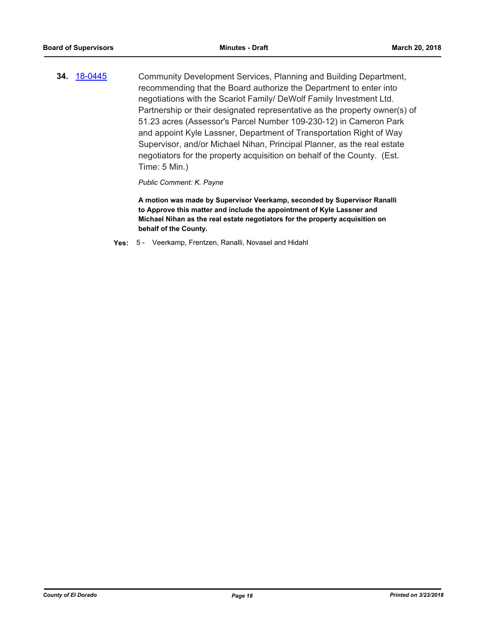**34.** [18-0445](http://eldorado.legistar.com/gateway.aspx?m=l&id=/matter.aspx?key=23790) Community Development Services, Planning and Building Department, recommending that the Board authorize the Department to enter into negotiations with the Scariot Family/ DeWolf Family Investment Ltd. Partnership or their designated representative as the property owner(s) of 51.23 acres (Assessor's Parcel Number 109-230-12) in Cameron Park and appoint Kyle Lassner, Department of Transportation Right of Way Supervisor, and/or Michael Nihan, Principal Planner, as the real estate negotiators for the property acquisition on behalf of the County. (Est. Time: 5 Min.)

*Public Comment: K. Payne*

**A motion was made by Supervisor Veerkamp, seconded by Supervisor Ranalli to Approve this matter and include the appointment of Kyle Lassner and Michael Nihan as the real estate negotiators for the property acquisition on behalf of the County.**

**Yes:** 5 - Veerkamp, Frentzen, Ranalli, Novasel and Hidahl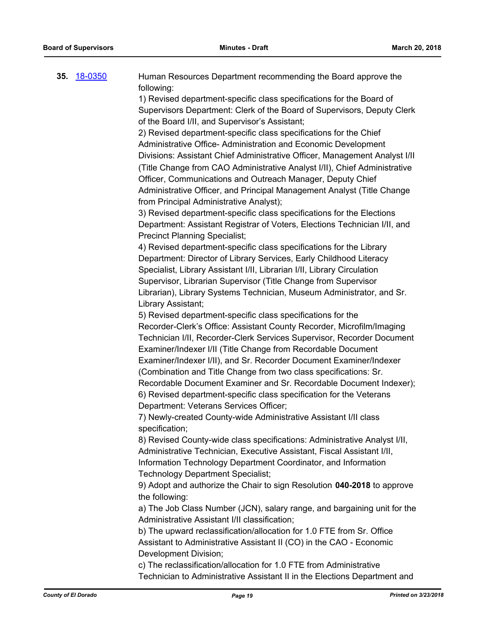| 35. | 18-0350 | Human Resources Department recommending the Board approve the<br>following: |
|-----|---------|-----------------------------------------------------------------------------|
|     |         | 1) Revised department-specific class specifications for the Board of        |
|     |         | Supervisors Department: Clerk of the Board of Supervisors, Deputy Clerk     |
|     |         | of the Board I/II, and Supervisor's Assistant;                              |
|     |         | 2) Revised department-specific class specifications for the Chief           |
|     |         | Administrative Office- Administration and Economic Development              |
|     |         | Divisions: Assistant Chief Administrative Officer, Management Analyst I/II  |
|     |         | (Title Change from CAO Administrative Analyst I/II), Chief Administrative   |
|     |         | Officer, Communications and Outreach Manager, Deputy Chief                  |
|     |         | Administrative Officer, and Principal Management Analyst (Title Change      |
|     |         | from Principal Administrative Analyst);                                     |
|     |         | 3) Revised department-specific class specifications for the Elections       |
|     |         | Department: Assistant Registrar of Voters, Elections Technician I/II, and   |
|     |         | <b>Precinct Planning Specialist;</b>                                        |
|     |         | 4) Revised department-specific class specifications for the Library         |
|     |         | Department: Director of Library Services, Early Childhood Literacy          |
|     |         | Specialist, Library Assistant I/II, Librarian I/II, Library Circulation     |
|     |         | Supervisor, Librarian Supervisor (Title Change from Supervisor              |
|     |         | Librarian), Library Systems Technician, Museum Administrator, and Sr.       |
|     |         | Library Assistant;                                                          |
|     |         | 5) Revised department-specific class specifications for the                 |
|     |         | Recorder-Clerk's Office: Assistant County Recorder, Microfilm/Imaging       |
|     |         | Technician I/II, Recorder-Clerk Services Supervisor, Recorder Document      |
|     |         | Examiner/Indexer I/II (Title Change from Recordable Document                |
|     |         | Examiner/Indexer I/II), and Sr. Recorder Document Examiner/Indexer          |
|     |         | (Combination and Title Change from two class specifications: Sr.            |
|     |         | Recordable Document Examiner and Sr. Recordable Document Indexer);          |
|     |         | 6) Revised department-specific class specification for the Veterans         |
|     |         | Department: Veterans Services Officer;                                      |
|     |         | 7) Newly-created County-wide Administrative Assistant I/II class            |
|     |         | specification;                                                              |
|     |         | 8) Revised County-wide class specifications: Administrative Analyst I/II,   |
|     |         | Administrative Technician, Executive Assistant, Fiscal Assistant I/II,      |
|     |         | Information Technology Department Coordinator, and Information              |
|     |         | <b>Technology Department Specialist;</b>                                    |
|     |         | 9) Adopt and authorize the Chair to sign Resolution 040-2018 to approve     |
|     |         | the following:                                                              |
|     |         | a) The Job Class Number (JCN), salary range, and bargaining unit for the    |
|     |         | Administrative Assistant I/II classification;                               |
|     |         | b) The upward reclassification/allocation for 1.0 FTE from Sr. Office       |
|     |         | Assistant to Administrative Assistant II (CO) in the CAO - Economic         |
|     |         | Development Division;                                                       |
|     |         | $r$ colocoification/allocotion for $4.0$ $\Box$ $\Box$ from Administrative  |

c) The reclassification/allocation for 1.0 FTE from Administrative Technician to Administrative Assistant II in the Elections Department and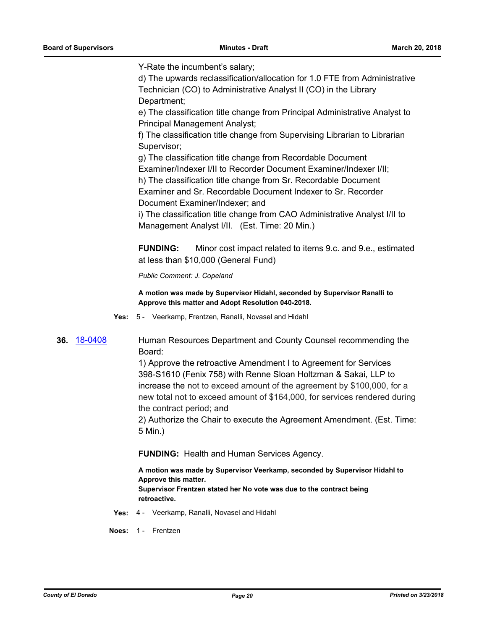Y-Rate the incumbent's salary;

d) The upwards reclassification/allocation for 1.0 FTE from Administrative Technician (CO) to Administrative Analyst II (CO) in the Library Department;

e) The classification title change from Principal Administrative Analyst to Principal Management Analyst;

f) The classification title change from Supervising Librarian to Librarian Supervisor;

g) The classification title change from Recordable Document

Examiner/Indexer I/II to Recorder Document Examiner/Indexer I/II;

h) The classification title change from Sr. Recordable Document Examiner and Sr. Recordable Document Indexer to Sr. Recorder Document Examiner/Indexer; and

i) The classification title change from CAO Administrative Analyst I/II to Management Analyst I/II. (Est. Time: 20 Min.)

**FUNDING:** Minor cost impact related to items 9.c. and 9.e., estimated at less than \$10,000 (General Fund)

*Public Comment: J. Copeland*

**A motion was made by Supervisor Hidahl, seconded by Supervisor Ranalli to Approve this matter and Adopt Resolution 040-2018.**

**Yes:** 5 - Veerkamp, Frentzen, Ranalli, Novasel and Hidahl

**36.** [18-0408](http://eldorado.legistar.com/gateway.aspx?m=l&id=/matter.aspx?key=23753) Human Resources Department and County Counsel recommending the Board:

> 1) Approve the retroactive Amendment I to Agreement for Services 398-S1610 (Fenix 758) with Renne Sloan Holtzman & Sakai, LLP to increase the not to exceed amount of the agreement by \$100,000, for a new total not to exceed amount of \$164,000, for services rendered during the contract period; and

> 2) Authorize the Chair to execute the Agreement Amendment. (Est. Time: 5 Min.)

**FUNDING:** Health and Human Services Agency.

**A motion was made by Supervisor Veerkamp, seconded by Supervisor Hidahl to Approve this matter. Supervisor Frentzen stated her No vote was due to the contract being** 

**retroactive.**

**Yes:** 4 - Veerkamp, Ranalli, Novasel and Hidahl

**Noes:** 1 - Frentzen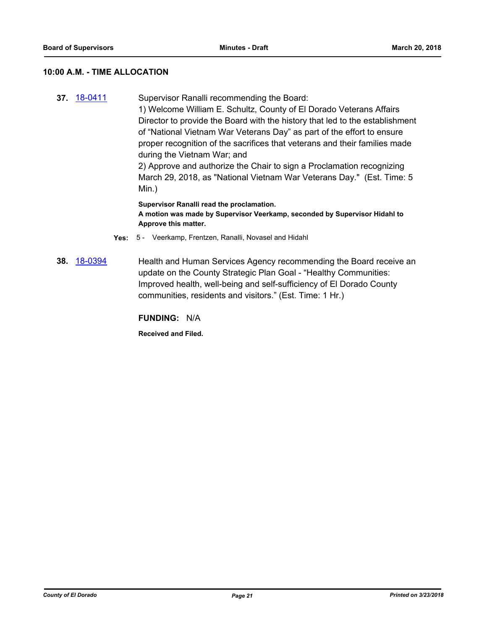# **10:00 A.M. - TIME ALLOCATION**

**37.** [18-0411](http://eldorado.legistar.com/gateway.aspx?m=l&id=/matter.aspx?key=23756) Supervisor Ranalli recommending the Board: 1) Welcome William E. Schultz, County of El Dorado Veterans Affairs Director to provide the Board with the history that led to the establishment of "National Vietnam War Veterans Day" as part of the effort to ensure proper recognition of the sacrifices that veterans and their families made during the Vietnam War; and 2) Approve and authorize the Chair to sign a Proclamation recognizing March 29, 2018, as "National Vietnam War Veterans Day." (Est. Time: 5 Min.) **Supervisor Ranalli read the proclamation.**

**A motion was made by Supervisor Veerkamp, seconded by Supervisor Hidahl to Approve this matter.**

- **Yes:** 5 Veerkamp, Frentzen, Ranalli, Novasel and Hidahl
- **38.** [18-0394](http://eldorado.legistar.com/gateway.aspx?m=l&id=/matter.aspx?key=23739) Health and Human Services Agency recommending the Board receive an update on the County Strategic Plan Goal - "Healthy Communities: Improved health, well-being and self-sufficiency of El Dorado County communities, residents and visitors." (Est. Time: 1 Hr.)

**FUNDING:** N/A

**Received and Filed.**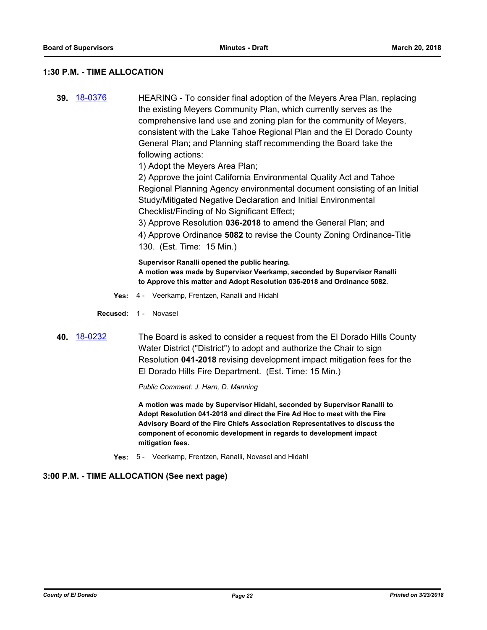# **1:30 P.M. - TIME ALLOCATION**

**39.** [18-0376](http://eldorado.legistar.com/gateway.aspx?m=l&id=/matter.aspx?key=23721) HEARING - To consider final adoption of the Meyers Area Plan, replacing the existing Meyers Community Plan, which currently serves as the comprehensive land use and zoning plan for the community of Meyers, consistent with the Lake Tahoe Regional Plan and the El Dorado County General Plan; and Planning staff recommending the Board take the following actions:

1) Adopt the Meyers Area Plan;

2) Approve the joint California Environmental Quality Act and Tahoe Regional Planning Agency environmental document consisting of an Initial Study/Mitigated Negative Declaration and Initial Environmental Checklist/Finding of No Significant Effect;

3) Approve Resolution **036-2018** to amend the General Plan; and 4) Approve Ordinance **5082** to revise the County Zoning Ordinance-Title 130. (Est. Time: 15 Min.)

**Supervisor Ranalli opened the public hearing. A motion was made by Supervisor Veerkamp, seconded by Supervisor Ranalli to Approve this matter and Adopt Resolution 036-2018 and Ordinance 5082.**

- **Yes:** 4 Veerkamp, Frentzen, Ranalli and Hidahl
- **Recused:** 1 Novasel
- **40.** [18-0232](http://eldorado.legistar.com/gateway.aspx?m=l&id=/matter.aspx?key=23574) The Board is asked to consider a request from the El Dorado Hills County Water District ("District") to adopt and authorize the Chair to sign Resolution **041-2018** revising development impact mitigation fees for the El Dorado Hills Fire Department. (Est. Time: 15 Min.)

*Public Comment: J. Harn, D. Manning*

**A motion was made by Supervisor Hidahl, seconded by Supervisor Ranalli to Adopt Resolution 041-2018 and direct the Fire Ad Hoc to meet with the Fire Advisory Board of the Fire Chiefs Association Representatives to discuss the component of economic development in regards to development impact mitigation fees.**

**Yes:** 5 - Veerkamp, Frentzen, Ranalli, Novasel and Hidahl

# **3:00 P.M. - TIME ALLOCATION (See next page)**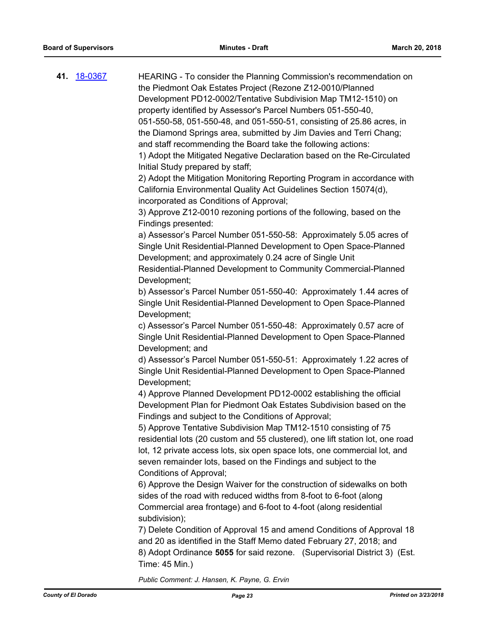| 41. <u>18-0367</u> | HEARING - To consider the Planning Commission's recommendation on<br>the Piedmont Oak Estates Project (Rezone Z12-0010/Planned<br>Development PD12-0002/Tentative Subdivision Map TM12-1510) on<br>property identified by Assessor's Parcel Numbers 051-550-40,<br>051-550-58, 051-550-48, and 051-550-51, consisting of 25.86 acres, in<br>the Diamond Springs area, submitted by Jim Davies and Terri Chang;<br>and staff recommending the Board take the following actions:<br>1) Adopt the Mitigated Negative Declaration based on the Re-Circulated<br>Initial Study prepared by staff;<br>2) Adopt the Mitigation Monitoring Reporting Program in accordance with<br>California Environmental Quality Act Guidelines Section 15074(d),<br>incorporated as Conditions of Approval;<br>3) Approve Z12-0010 rezoning portions of the following, based on the<br>Findings presented:<br>a) Assessor's Parcel Number 051-550-58: Approximately 5.05 acres of<br>Single Unit Residential-Planned Development to Open Space-Planned<br>Development; and approximately 0.24 acre of Single Unit<br>Residential-Planned Development to Community Commercial-Planned<br>Development;<br>b) Assessor's Parcel Number 051-550-40: Approximately 1.44 acres of<br>Single Unit Residential-Planned Development to Open Space-Planned<br>Development;<br>c) Assessor's Parcel Number 051-550-48: Approximately 0.57 acre of<br>Single Unit Residential-Planned Development to Open Space-Planned<br>Development; and<br>d) Assessor's Parcel Number 051-550-51: Approximately 1.22 acres of<br>Single Unit Residential-Planned Development to Open Space-Planned<br>Development;<br>4) Approve Planned Development PD12-0002 establishing the official<br>Development Plan for Piedmont Oak Estates Subdivision based on the<br>Findings and subject to the Conditions of Approval;<br>5) Approve Tentative Subdivision Map TM12-1510 consisting of 75<br>residential lots (20 custom and 55 clustered), one lift station lot, one road<br>lot, 12 private access lots, six open space lots, one commercial lot, and<br>seven remainder lots, based on the Findings and subject to the<br>Conditions of Approval;<br>6) Approve the Design Waiver for the construction of sidewalks on both |
|--------------------|------------------------------------------------------------------------------------------------------------------------------------------------------------------------------------------------------------------------------------------------------------------------------------------------------------------------------------------------------------------------------------------------------------------------------------------------------------------------------------------------------------------------------------------------------------------------------------------------------------------------------------------------------------------------------------------------------------------------------------------------------------------------------------------------------------------------------------------------------------------------------------------------------------------------------------------------------------------------------------------------------------------------------------------------------------------------------------------------------------------------------------------------------------------------------------------------------------------------------------------------------------------------------------------------------------------------------------------------------------------------------------------------------------------------------------------------------------------------------------------------------------------------------------------------------------------------------------------------------------------------------------------------------------------------------------------------------------------------------------------------------------------------------------------------------------------------------------------------------------------------------------------------------------------------------------------------------------------------------------------------------------------------------------------------------------------------------------------------------------------------------------------------------------------------------------------------------------------------------------------------------------------------------------|
|                    | sides of the road with reduced widths from 8-foot to 6-foot (along<br>Commercial area frontage) and 6-foot to 4-foot (along residential<br>subdivision);                                                                                                                                                                                                                                                                                                                                                                                                                                                                                                                                                                                                                                                                                                                                                                                                                                                                                                                                                                                                                                                                                                                                                                                                                                                                                                                                                                                                                                                                                                                                                                                                                                                                                                                                                                                                                                                                                                                                                                                                                                                                                                                           |
|                    | 7) Delete Condition of Approval 15 and amend Conditions of Approval 18<br>and 20 as identified in the Staff Memo dated February 27, 2018; and<br>8) Adopt Ordinance 5055 for said rezone. (Supervisorial District 3) (Est.<br>Time: 45 Min.)                                                                                                                                                                                                                                                                                                                                                                                                                                                                                                                                                                                                                                                                                                                                                                                                                                                                                                                                                                                                                                                                                                                                                                                                                                                                                                                                                                                                                                                                                                                                                                                                                                                                                                                                                                                                                                                                                                                                                                                                                                       |
|                    | Public Comment: J. Hansen, K. Payne, G. Ervin                                                                                                                                                                                                                                                                                                                                                                                                                                                                                                                                                                                                                                                                                                                                                                                                                                                                                                                                                                                                                                                                                                                                                                                                                                                                                                                                                                                                                                                                                                                                                                                                                                                                                                                                                                                                                                                                                                                                                                                                                                                                                                                                                                                                                                      |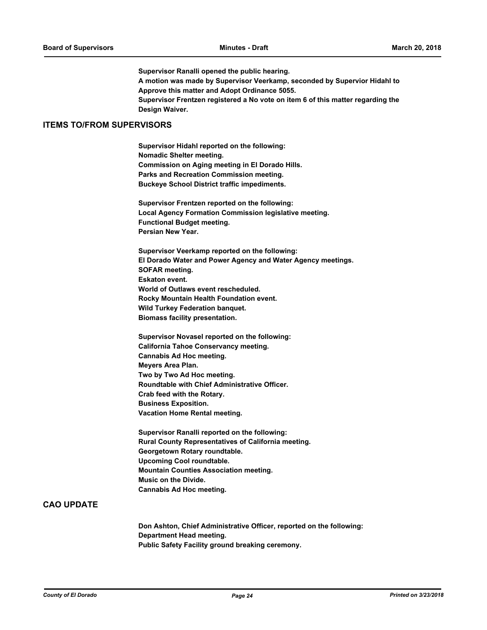**Supervisor Ranalli opened the public hearing. A motion was made by Supervisor Veerkamp, seconded by Supervior Hidahl to Approve this matter and Adopt Ordinance 5055. Supervisor Frentzen registered a No vote on item 6 of this matter regarding the Design Waiver.**

#### **ITEMS TO/FROM SUPERVISORS**

**Supervisor Hidahl reported on the following: Nomadic Shelter meeting. Commission on Aging meeting in El Dorado Hills. Parks and Recreation Commission meeting. Buckeye School District traffic impediments.**

**Supervisor Frentzen reported on the following: Local Agency Formation Commission legislative meeting. Functional Budget meeting. Persian New Year.**

**Supervisor Veerkamp reported on the following: El Dorado Water and Power Agency and Water Agency meetings. SOFAR meeting. Eskaton event. World of Outlaws event rescheduled. Rocky Mountain Health Foundation event. Wild Turkey Federation banquet. Biomass facility presentation.**

**Supervisor Novasel reported on the following: California Tahoe Conservancy meeting. Cannabis Ad Hoc meeting. Meyers Area Plan. Two by Two Ad Hoc meeting. Roundtable with Chief Administrative Officer. Crab feed with the Rotary. Business Exposition. Vacation Home Rental meeting.**

**Supervisor Ranalli reported on the following: Rural County Representatives of California meeting. Georgetown Rotary roundtable. Upcoming Cool roundtable. Mountain Counties Association meeting. Music on the Divide. Cannabis Ad Hoc meeting.**

### **CAO UPDATE**

**Don Ashton, Chief Administrative Officer, reported on the following: Department Head meeting. Public Safety Facility ground breaking ceremony.**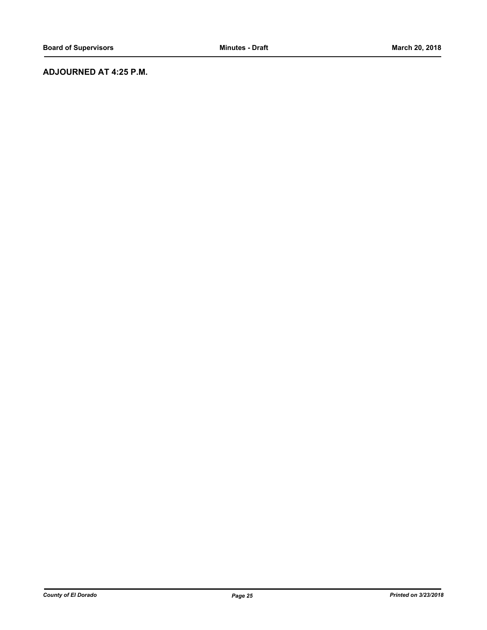# **ADJOURNED AT 4:25 P.M.**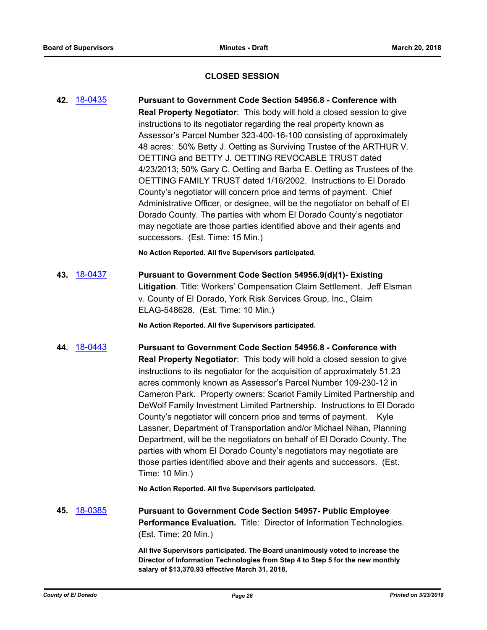# **CLOSED SESSION**

**42.** [18-0435](http://eldorado.legistar.com/gateway.aspx?m=l&id=/matter.aspx?key=23780) **Pursuant to Government Code Section 54956.8 - Conference with Real Property Negotiator**: This body will hold a closed session to give instructions to its negotiator regarding the real property known as Assessor's Parcel Number 323-400-16-100 consisting of approximately 48 acres: 50% Betty J. Oetting as Surviving Trustee of the ARTHUR V. OETTING and BETTY J. OETTING REVOCABLE TRUST dated 4/23/2013; 50% Gary C. Oetting and Barba E. Oetting as Trustees of the OETTING FAMILY TRUST dated 1/16/2002. Instructions to El Dorado County's negotiator will concern price and terms of payment. Chief Administrative Officer, or designee, will be the negotiator on behalf of El Dorado County. The parties with whom El Dorado County's negotiator may negotiate are those parties identified above and their agents and successors. (Est. Time: 15 Min.)

**No Action Reported. All five Supervisors participated.**

**43.** [18-0437](http://eldorado.legistar.com/gateway.aspx?m=l&id=/matter.aspx?key=23782) **Pursuant to Government Code Section 54956.9(d)(1)- Existing Litigation**. Title: Workers' Compensation Claim Settlement. Jeff Elsman v. County of El Dorado, York Risk Services Group, Inc., Claim ELAG-548628. (Est. Time: 10 Min.)

**No Action Reported. All five Supervisors participated.**

**44.** [18-0443](http://eldorado.legistar.com/gateway.aspx?m=l&id=/matter.aspx?key=23788) **Pursuant to Government Code Section 54956.8 - Conference with Real Property Negotiator**: This body will hold a closed session to give instructions to its negotiator for the acquisition of approximately 51.23 acres commonly known as Assessor's Parcel Number 109-230-12 in Cameron Park. Property owners: Scariot Family Limited Partnership and DeWolf Family Investment Limited Partnership. Instructions to El Dorado County's negotiator will concern price and terms of payment. Kyle Lassner, Department of Transportation and/or Michael Nihan, Planning Department, will be the negotiators on behalf of El Dorado County. The parties with whom El Dorado County's negotiators may negotiate are those parties identified above and their agents and successors. (Est. Time: 10 Min.)

**No Action Reported. All five Supervisors participated.**

**45.** [18-0385](http://eldorado.legistar.com/gateway.aspx?m=l&id=/matter.aspx?key=23730) **Pursuant to Government Code Section 54957- Public Employee Performance Evaluation.** Title: Director of Information Technologies. (Est. Time: 20 Min.)

> **All five Supervisors participated. The Board unanimously voted to increase the Director of Information Technologies from Step 4 to Step 5 for the new monthly salary of \$13,370.93 effective March 31, 2018,**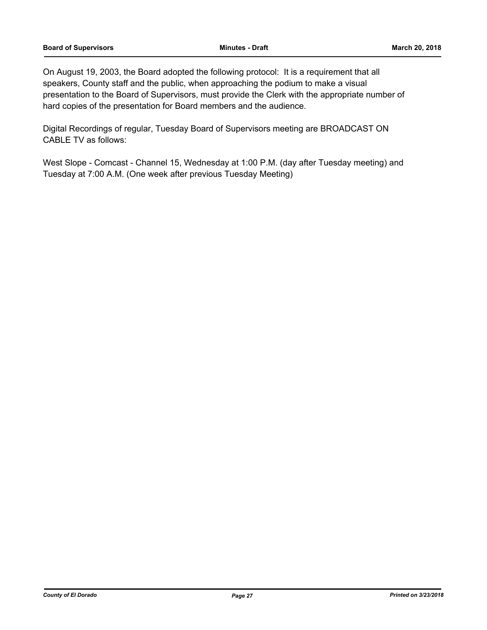On August 19, 2003, the Board adopted the following protocol: It is a requirement that all speakers, County staff and the public, when approaching the podium to make a visual presentation to the Board of Supervisors, must provide the Clerk with the appropriate number of hard copies of the presentation for Board members and the audience.

Digital Recordings of regular, Tuesday Board of Supervisors meeting are BROADCAST ON CABLE TV as follows:

West Slope - Comcast - Channel 15, Wednesday at 1:00 P.M. (day after Tuesday meeting) and Tuesday at 7:00 A.M. (One week after previous Tuesday Meeting)